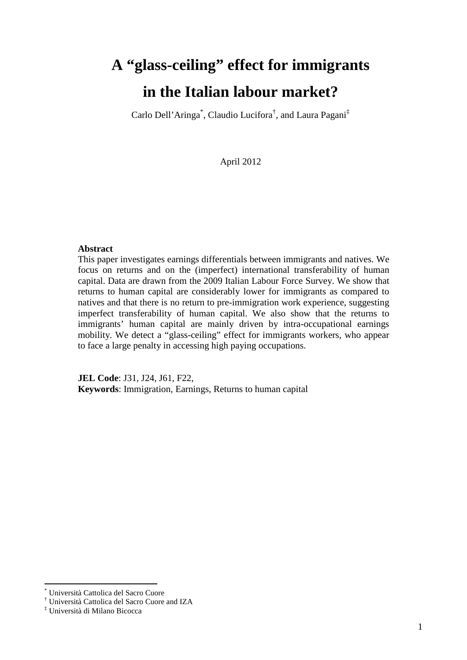# **A "glass-ceiling" effect for immigrants in the Italian labour market?**

Carlo Dell'Aringa\* , Claudio Lucifora† , and Laura Pagani‡

April 2012

#### **Abstract**

This paper investigates earnings differentials between immigrants and natives. We focus on returns and on the (imperfect) international transferability of human capital. Data are drawn from the 2009 Italian Labour Force Survey. We show that returns to human capital are considerably lower for immigrants as compared to natives and that there is no return to pre-immigration work experience, suggesting imperfect transferability of human capital. We also show that the returns to immigrants' human capital are mainly driven by intra-occupational earnings mobility. We detect a "glass-ceiling" effect for immigrants workers, who appear to face a large penalty in accessing high paying occupations.

**JEL Code**: J31, J24, J61, F22, **Keywords**: Immigration, Earnings, Returns to human capital

 $\overline{a}$ 

<sup>\*</sup> Università Cattolica del Sacro Cuore

<sup>†</sup> Università Cattolica del Sacro Cuore and IZA

<sup>‡</sup> Università di Milano Bicocca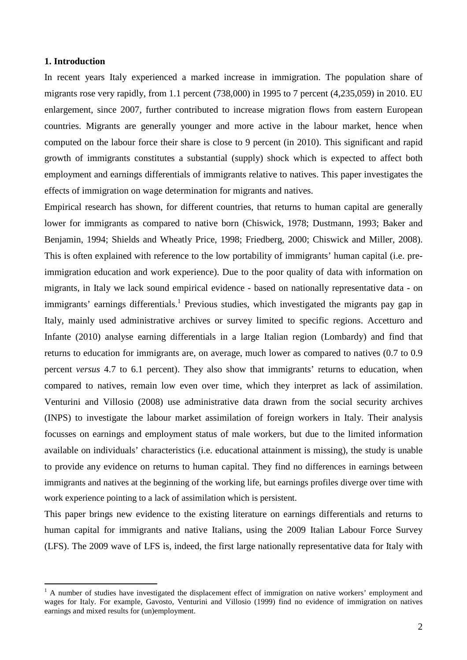#### **1. Introduction**

 $\overline{a}$ 

In recent years Italy experienced a marked increase in immigration. The population share of migrants rose very rapidly, from 1.1 percent (738,000) in 1995 to 7 percent (4,235,059) in 2010. EU enlargement, since 2007, further contributed to increase migration flows from eastern European countries. Migrants are generally younger and more active in the labour market, hence when computed on the labour force their share is close to 9 percent (in 2010). This significant and rapid growth of immigrants constitutes a substantial (supply) shock which is expected to affect both employment and earnings differentials of immigrants relative to natives. This paper investigates the effects of immigration on wage determination for migrants and natives.

Empirical research has shown, for different countries, that returns to human capital are generally lower for immigrants as compared to native born (Chiswick, 1978; Dustmann, 1993; Baker and Benjamin, 1994; Shields and Wheatly Price, 1998; Friedberg, 2000; Chiswick and Miller, 2008). This is often explained with reference to the low portability of immigrants' human capital (i.e. preimmigration education and work experience). Due to the poor quality of data with information on migrants, in Italy we lack sound empirical evidence - based on nationally representative data - on immigrants' earnings differentials.<sup>1</sup> Previous studies, which investigated the migrants pay gap in Italy, mainly used administrative archives or survey limited to specific regions. Accetturo and Infante (2010) analyse earning differentials in a large Italian region (Lombardy) and find that returns to education for immigrants are, on average, much lower as compared to natives (0.7 to 0.9 percent *versus* 4.7 to 6.1 percent). They also show that immigrants' returns to education, when compared to natives, remain low even over time, which they interpret as lack of assimilation. Venturini and Villosio (2008) use administrative data drawn from the social security archives (INPS) to investigate the labour market assimilation of foreign workers in Italy. Their analysis focusses on earnings and employment status of male workers, but due to the limited information available on individuals' characteristics (i.e. educational attainment is missing), the study is unable to provide any evidence on returns to human capital. They find no differences in earnings between immigrants and natives at the beginning of the working life, but earnings profiles diverge over time with work experience pointing to a lack of assimilation which is persistent.

This paper brings new evidence to the existing literature on earnings differentials and returns to human capital for immigrants and native Italians, using the 2009 Italian Labour Force Survey (LFS). The 2009 wave of LFS is, indeed, the first large nationally representative data for Italy with

<sup>&</sup>lt;sup>1</sup> A number of studies have investigated the displacement effect of immigration on native workers' employment and wages for Italy. For example, Gavosto, Venturini and Villosio (1999) find no evidence of immigration on natives earnings and mixed results for (un)employment.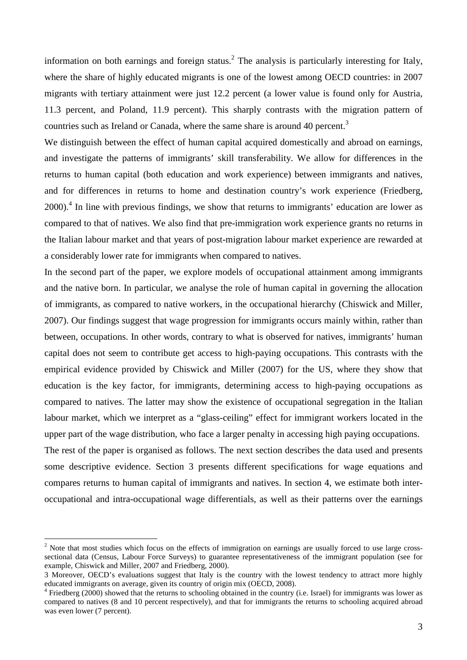information on both earnings and foreign status.<sup>2</sup> The analysis is particularly interesting for Italy, where the share of highly educated migrants is one of the lowest among OECD countries: in 2007 migrants with tertiary attainment were just 12.2 percent (a lower value is found only for Austria, 11.3 percent, and Poland, 11.9 percent). This sharply contrasts with the migration pattern of countries such as Ireland or Canada, where the same share is around 40 percent.<sup>3</sup>

We distinguish between the effect of human capital acquired domestically and abroad on earnings, and investigate the patterns of immigrants' skill transferability. We allow for differences in the returns to human capital (both education and work experience) between immigrants and natives, and for differences in returns to home and destination country's work experience (Friedberg,  $2000$ .<sup>4</sup> In line with previous findings, we show that returns to immigrants' education are lower as compared to that of natives. We also find that pre-immigration work experience grants no returns in the Italian labour market and that years of post-migration labour market experience are rewarded at a considerably lower rate for immigrants when compared to natives.

In the second part of the paper, we explore models of occupational attainment among immigrants and the native born. In particular, we analyse the role of human capital in governing the allocation of immigrants, as compared to native workers, in the occupational hierarchy (Chiswick and Miller, 2007). Our findings suggest that wage progression for immigrants occurs mainly within, rather than between, occupations. In other words, contrary to what is observed for natives, immigrants' human capital does not seem to contribute get access to high-paying occupations. This contrasts with the empirical evidence provided by Chiswick and Miller (2007) for the US, where they show that education is the key factor, for immigrants, determining access to high-paying occupations as compared to natives. The latter may show the existence of occupational segregation in the Italian labour market, which we interpret as a "glass-ceiling" effect for immigrant workers located in the upper part of the wage distribution, who face a larger penalty in accessing high paying occupations.

The rest of the paper is organised as follows. The next section describes the data used and presents some descriptive evidence. Section 3 presents different specifications for wage equations and compares returns to human capital of immigrants and natives. In section 4, we estimate both interoccupational and intra-occupational wage differentials, as well as their patterns over the earnings

 $\overline{a}$ 

 $2$  Note that most studies which focus on the effects of immigration on earnings are usually forced to use large crosssectional data (Census, Labour Force Surveys) to guarantee representativeness of the immigrant population (see for example, Chiswick and Miller, 2007 and Friedberg, 2000).

<sup>3</sup> Moreover, OECD's evaluations suggest that Italy is the country with the lowest tendency to attract more highly educated immigrants on average, given its country of origin mix (OECD, 2008).

<sup>&</sup>lt;sup>4</sup> Friedberg (2000) showed that the returns to schooling obtained in the country (i.e. Israel) for immigrants was lower as compared to natives (8 and 10 percent respectively), and that for immigrants the returns to schooling acquired abroad was even lower (7 percent).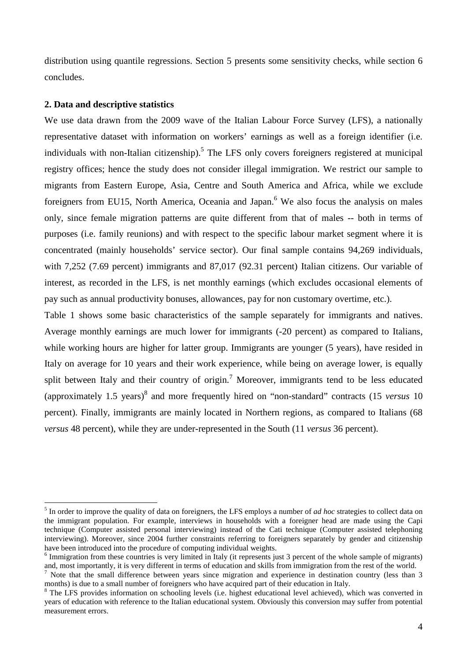distribution using quantile regressions. Section 5 presents some sensitivity checks, while section 6 concludes.

#### **2. Data and descriptive statistics**

We use data drawn from the 2009 wave of the Italian Labour Force Survey (LFS), a nationally representative dataset with information on workers' earnings as well as a foreign identifier (i.e. individuals with non-Italian citizenship).<sup>5</sup> The LFS only covers foreigners registered at municipal registry offices; hence the study does not consider illegal immigration. We restrict our sample to migrants from Eastern Europe, Asia, Centre and South America and Africa, while we exclude foreigners from EU15, North America, Oceania and Japan.<sup>6</sup> We also focus the analysis on males only, since female migration patterns are quite different from that of males -- both in terms of purposes (i.e. family reunions) and with respect to the specific labour market segment where it is concentrated (mainly households' service sector). Our final sample contains 94,269 individuals, with 7,252 (7.69 percent) immigrants and 87,017 (92.31 percent) Italian citizens. Our variable of interest, as recorded in the LFS, is net monthly earnings (which excludes occasional elements of pay such as annual productivity bonuses, allowances, pay for non customary overtime, etc.).

Table 1 shows some basic characteristics of the sample separately for immigrants and natives. Average monthly earnings are much lower for immigrants (-20 percent) as compared to Italians, while working hours are higher for latter group. Immigrants are younger (5 years), have resided in Italy on average for 10 years and their work experience, while being on average lower, is equally split between Italy and their country of origin.<sup>7</sup> Moreover, immigrants tend to be less educated (approximately 1.5 years)<sup>8</sup> and more frequently hired on "non-standard" contracts (15 *versus* 10 percent). Finally, immigrants are mainly located in Northern regions, as compared to Italians (68 *versus* 48 percent), while they are under-represented in the South (11 *versus* 36 percent).

 5 In order to improve the quality of data on foreigners, the LFS employs a number of *ad hoc* strategies to collect data on the immigrant population. For example, interviews in households with a foreigner head are made using the Capi technique (Computer assisted personal interviewing) instead of the Cati technique (Computer assisted telephoning interviewing). Moreover, since 2004 further constraints referring to foreigners separately by gender and citizenship have been introduced into the procedure of computing individual weights.

<sup>&</sup>lt;sup>6</sup> Immigration from these countries is very limited in Italy (it represents just 3 percent of the whole sample of migrants) and, most importantly, it is very different in terms of education and skills from immigration from the rest of the world.

<sup>7</sup> Note that the small difference between years since migration and experience in destination country (less than 3 months) is due to a small number of foreigners who have acquired part of their education in Italy.

<sup>&</sup>lt;sup>8</sup> The LFS provides information on schooling levels (i.e. highest educational level achieved), which was converted in years of education with reference to the Italian educational system. Obviously this conversion may suffer from potential measurement errors.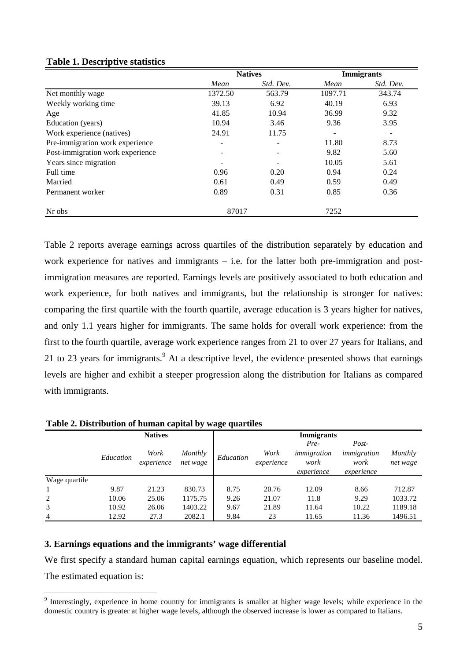#### **Table 1. Descriptive statistics**

|                                  |         | <b>Natives</b> |         | <b>Immigrants</b> |
|----------------------------------|---------|----------------|---------|-------------------|
|                                  | Mean    | Std. Dev.      | Mean    | Std. Dev.         |
| Net monthly wage                 | 1372.50 | 563.79         | 1097.71 | 343.74            |
| Weekly working time              | 39.13   | 6.92           | 40.19   | 6.93              |
| Age                              | 41.85   | 10.94          | 36.99   | 9.32              |
| Education (years)                | 10.94   | 3.46           | 9.36    | 3.95              |
| Work experience (natives)        | 24.91   | 11.75          | -       |                   |
| Pre-immigration work experience  | ۰       |                | 11.80   | 8.73              |
| Post-immigration work experience | -       |                | 9.82    | 5.60              |
| Years since migration            |         |                | 10.05   | 5.61              |
| Full time                        | 0.96    | 0.20           | 0.94    | 0.24              |
| Married                          | 0.61    | 0.49           | 0.59    | 0.49              |
| Permanent worker                 | 0.89    | 0.31           | 0.85    | 0.36              |
| Nr obs                           | 87017   |                | 7252    |                   |

Table 2 reports average earnings across quartiles of the distribution separately by education and work experience for natives and immigrants – i.e. for the latter both pre-immigration and postimmigration measures are reported. Earnings levels are positively associated to both education and work experience, for both natives and immigrants, but the relationship is stronger for natives: comparing the first quartile with the fourth quartile, average education is 3 years higher for natives, and only 1.1 years higher for immigrants. The same holds for overall work experience: from the first to the fourth quartile, average work experience ranges from 21 to over 27 years for Italians, and 21 to 23 years for immigrants. At a descriptive level, the evidence presented shows that earnings levels are higher and exhibit a steeper progression along the distribution for Italians as compared with immigrants.

| Table 2. Distribution of human capital by wage quartiles |  |  |
|----------------------------------------------------------|--|--|
|----------------------------------------------------------|--|--|

|                |           | <b>Natives</b>     |                     |           |                    | <b>Immigrants</b>                         |                                            |                     |
|----------------|-----------|--------------------|---------------------|-----------|--------------------|-------------------------------------------|--------------------------------------------|---------------------|
|                | Education | Work<br>experience | Monthly<br>net wage | Education | Work<br>experience | Pre-<br>immigration<br>work<br>experience | Post-<br>immigration<br>work<br>experience | Monthly<br>net wage |
| Wage quartile  |           |                    |                     |           |                    |                                           |                                            |                     |
|                | 9.87      | 21.23              | 830.73              | 8.75      | 20.76              | 12.09                                     | 8.66                                       | 712.87              |
| 2              | 10.06     | 25.06              | 1175.75             | 9.26      | 21.07              | 11.8                                      | 9.29                                       | 1033.72             |
| 3              | 10.92     | 26.06              | 1403.22             | 9.67      | 21.89              | 11.64                                     | 10.22                                      | 1189.18             |
| $\overline{4}$ | 12.92     | 27.3               | 2082.1              | 9.84      | 23                 | 11.65                                     | 11.36                                      | 1496.51             |

## **3. Earnings equations and the immigrants' wage differential**

We first specify a standard human capital earnings equation, which represents our baseline model. The estimated equation is:

<sup>&</sup>lt;sup>9</sup> Interestingly, experience in home country for immigrants is smaller at higher wage levels; while experience in the domestic country is greater at higher wage levels, although the observed increase is lower as compared to Italians.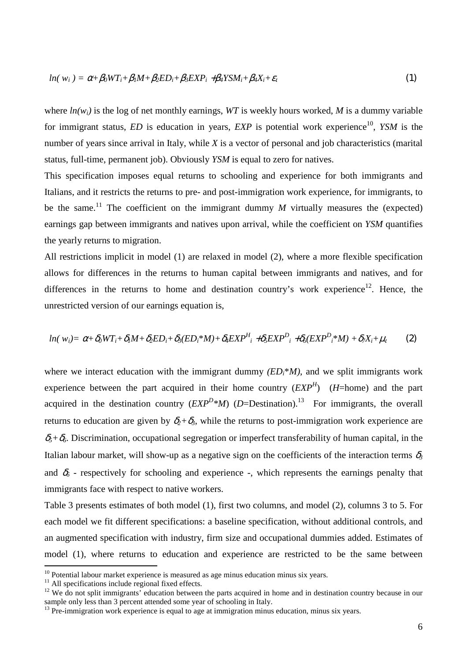$$
ln(w_i) = \alpha + \beta_0 WT_i + \beta_1 M + \beta_2 ED_i + \beta_3 EXP_i + \beta_4 YSM_i + \beta_4 X_i + \varepsilon_t
$$
\n(1)

where  $ln(w_i)$  is the log of net monthly earnings, WT is weekly hours worked, M is a dummy variable for immigrant status, *ED* is education in years, *EXP* is potential work experience<sup>10</sup>, *YSM* is the number of years since arrival in Italy, while *X* is a vector of personal and job characteristics (marital status, full-time, permanent job). Obviously *YSM* is equal to zero for natives.

This specification imposes equal returns to schooling and experience for both immigrants and Italians, and it restricts the returns to pre- and post-immigration work experience, for immigrants, to be the same.<sup>11</sup> The coefficient on the immigrant dummy  $M$  virtually measures the (expected) earnings gap between immigrants and natives upon arrival, while the coefficient on *YSM* quantifies the yearly returns to migration.

All restrictions implicit in model (1) are relaxed in model (2), where a more flexible specification allows for differences in the returns to human capital between immigrants and natives, and for differences in the returns to home and destination country's work experience<sup>12</sup>. Hence, the unrestricted version of our earnings equation is,

$$
ln(w_i) = \alpha + \delta_0 WT_i + \delta_1 M + \delta_2 ED_i + \delta_3 (ED_i * M) + \delta_4 EXP^H_i + \delta_5 EXP^D_i + \delta_6 (EXP^D_i * M) + \delta_7 X_i + \mu_i
$$
 (2)

where we interact education with the immigrant dummy  $(ED_i^*M)$ , and we split immigrants work experience between the part acquired in their home country  $(EXP<sup>H</sup>)$  (*H*=home) and the part acquired in the destination country  $(EXP<sup>D</sup> *M)$  (*D*=Destination).<sup>13</sup> For immigrants, the overall returns to education are given by  $\delta_2 + \delta_3$ , while the returns to post-immigration work experience are  $\delta_5 + \delta_6$ . Discrimination, occupational segregation or imperfect transferability of human capital, in the Italian labour market, will show-up as a negative sign on the coefficients of the interaction terms  $\delta_3$ and  $\delta_6$  - respectively for schooling and experience -, which represents the earnings penalty that immigrants face with respect to native workers.

Table 3 presents estimates of both model (1), first two columns, and model (2), columns 3 to 5. For each model we fit different specifications: a baseline specification, without additional controls, and an augmented specification with industry, firm size and occupational dummies added. Estimates of model (1), where returns to education and experience are restricted to be the same between

 $\overline{a}$ 

 $10$  Potential labour market experience is measured as age minus education minus six years.

<sup>&</sup>lt;sup>11</sup> All specifications include regional fixed effects.

<sup>&</sup>lt;sup>12</sup> We do not split immigrants' education between the parts acquired in home and in destination country because in our sample only less than 3 percent attended some year of schooling in Italy.

 $13$  Pre-immigration work experience is equal to age at immigration minus education, minus six years.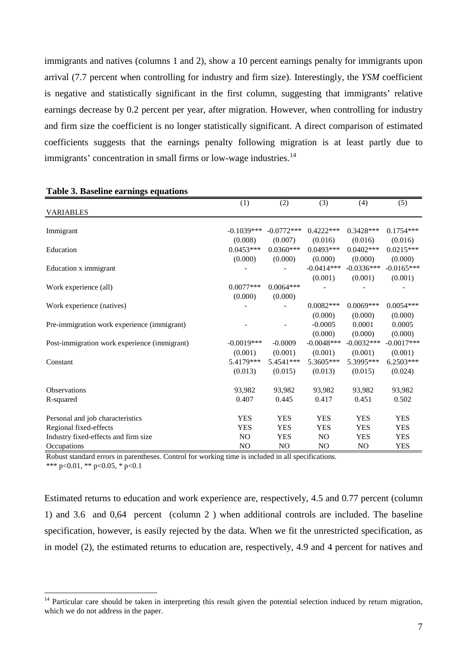immigrants and natives (columns 1 and 2), show a 10 percent earnings penalty for immigrants upon arrival (7.7 percent when controlling for industry and firm size). Interestingly, the *YSM* coefficient is negative and statistically significant in the first column, suggesting that immigrants' relative earnings decrease by 0.2 percent per year, after migration. However, when controlling for industry and firm size the coefficient is no longer statistically significant. A direct comparison of estimated coefficients suggests that the earnings penalty following migration is at least partly due to immigrants' concentration in small firms or low-wage industries.<sup>14</sup>

|                                              | (1)            | (2)            | (3)            | (4)            | (5)          |
|----------------------------------------------|----------------|----------------|----------------|----------------|--------------|
| <b>VARIABLES</b>                             |                |                |                |                |              |
|                                              |                |                |                |                |              |
| Immigrant                                    | $-0.1039***$   | $-0.0772***$   | $0.4222***$    | $0.3428***$    | $0.1754***$  |
|                                              | (0.008)        | (0.007)        | (0.016)        | (0.016)        | (0.016)      |
| Education                                    | $0.0453***$    | $0.0360***$    | $0.0493***$    | $0.0402***$    | $0.0215***$  |
|                                              | (0.000)        | (0.000)        | (0.000)        | (0.000)        | (0.000)      |
| Education x immigrant                        |                |                | $-0.0414***$   | $-0.0336***$   | $-0.0165***$ |
|                                              |                |                | (0.001)        | (0.001)        | (0.001)      |
| Work experience (all)                        | $0.0077***$    | $0.0064***$    |                |                |              |
|                                              | (0.000)        | (0.000)        |                |                |              |
| Work experience (natives)                    |                |                | $0.0082***$    | $0.0069***$    | $0.0054***$  |
|                                              |                |                | (0.000)        | (0.000)        | (0.000)      |
| Pre-immigration work experience (immigrant)  |                |                | $-0.0005$      | 0.0001         | 0.0005       |
|                                              |                |                | (0.000)        | (0.000)        | (0.000)      |
| Post-immigration work experience (immigrant) | $-0.0019***$   | $-0.0009$      | $-0.0048***$   | $-0.0032***$   | $-0.0017***$ |
|                                              | (0.001)        | (0.001)        | (0.001)        | (0.001)        | (0.001)      |
| Constant                                     | 5.4179***      | 5.4541***      | 5.3605***      | 5.3995***      | $6.2503***$  |
|                                              | (0.013)        | (0.015)        | (0.013)        | (0.015)        | (0.024)      |
| <b>Observations</b>                          | 93,982         | 93,982         | 93,982         | 93,982         | 93,982       |
| R-squared                                    | 0.407          | 0.445          | 0.417          | 0.451          | 0.502        |
|                                              |                |                |                |                |              |
| Personal and job characteristics             | <b>YES</b>     | <b>YES</b>     | <b>YES</b>     | <b>YES</b>     | <b>YES</b>   |
| Regional fixed-effects                       | <b>YES</b>     | <b>YES</b>     | <b>YES</b>     | <b>YES</b>     | <b>YES</b>   |
| Industry fixed-effects and firm size         | N <sub>O</sub> | <b>YES</b>     | N <sub>O</sub> | YES            | <b>YES</b>   |
| Occupations                                  | N <sub>O</sub> | N <sub>O</sub> | N <sub>O</sub> | N <sub>O</sub> | <b>YES</b>   |

#### **Table 3. Baseline earnings equations**

Robust standard errors in parentheses. Control for working time is included in all specifications.

\*\*\* p<0.01, \*\* p<0.05, \* p<0.1

 $\overline{a}$ 

Estimated returns to education and work experience are, respectively, 4.5 and 0.77 percent (column 1) and 3.6 and 0,64 percent (column 2 ) when additional controls are included. The baseline specification, however, is easily rejected by the data. When we fit the unrestricted specification, as in model (2), the estimated returns to education are, respectively, 4.9 and 4 percent for natives and

<sup>&</sup>lt;sup>14</sup> Particular care should be taken in interpreting this result given the potential selection induced by return migration, which we do not address in the paper.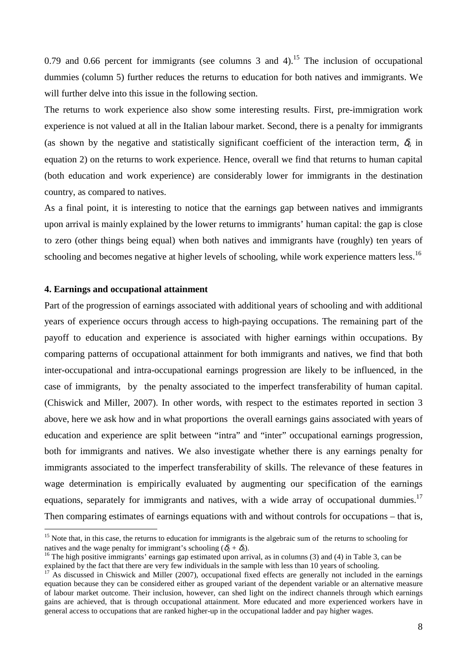0.79 and 0.66 percent for immigrants (see columns  $\overline{3}$  and  $\overline{4}$ ).<sup>15</sup> The inclusion of occupational dummies (column 5) further reduces the returns to education for both natives and immigrants. We will further delve into this issue in the following section.

The returns to work experience also show some interesting results. First, pre-immigration work experience is not valued at all in the Italian labour market. Second, there is a penalty for immigrants (as shown by the negative and statistically significant coefficient of the interaction term,  $\delta_6$  in equation 2) on the returns to work experience. Hence, overall we find that returns to human capital (both education and work experience) are considerably lower for immigrants in the destination country, as compared to natives.

As a final point, it is interesting to notice that the earnings gap between natives and immigrants upon arrival is mainly explained by the lower returns to immigrants' human capital: the gap is close to zero (other things being equal) when both natives and immigrants have (roughly) ten years of schooling and becomes negative at higher levels of schooling, while work experience matters less.<sup>16</sup>

## **4. Earnings and occupational attainment**

 $\overline{a}$ 

Part of the progression of earnings associated with additional years of schooling and with additional years of experience occurs through access to high-paying occupations. The remaining part of the payoff to education and experience is associated with higher earnings within occupations. By comparing patterns of occupational attainment for both immigrants and natives, we find that both inter-occupational and intra-occupational earnings progression are likely to be influenced, in the case of immigrants, by the penalty associated to the imperfect transferability of human capital. (Chiswick and Miller, 2007). In other words, with respect to the estimates reported in section 3 above, here we ask how and in what proportions the overall earnings gains associated with years of education and experience are split between "intra" and "inter" occupational earnings progression, both for immigrants and natives. We also investigate whether there is any earnings penalty for immigrants associated to the imperfect transferability of skills. The relevance of these features in wage determination is empirically evaluated by augmenting our specification of the earnings equations, separately for immigrants and natives, with a wide array of occupational dummies.<sup>17</sup> Then comparing estimates of earnings equations with and without controls for occupations – that is,

<sup>&</sup>lt;sup>15</sup> Note that, in this case, the returns to education for immigrants is the algebraic sum of the returns to schooling for natives and the wage penalty for immigrant's schooling  $(\delta_2 + \delta_3)$ .

<sup>&</sup>lt;sup>16</sup> The high positive immigrants' earnings gap estimated upon arrival, as in columns (3) and (4) in Table 3, can be explained by the fact that there are very few individuals in the sample with less than 10 years of schooling.

As discussed in Chiswick and Miller (2007), occupational fixed effects are generally not included in the earnings equation because they can be considered either as grouped variant of the dependent variable or an alternative measure of labour market outcome. Their inclusion, however, can shed light on the indirect channels through which earnings gains are achieved, that is through occupational attainment. More educated and more experienced workers have in general access to occupations that are ranked higher-up in the occupational ladder and pay higher wages.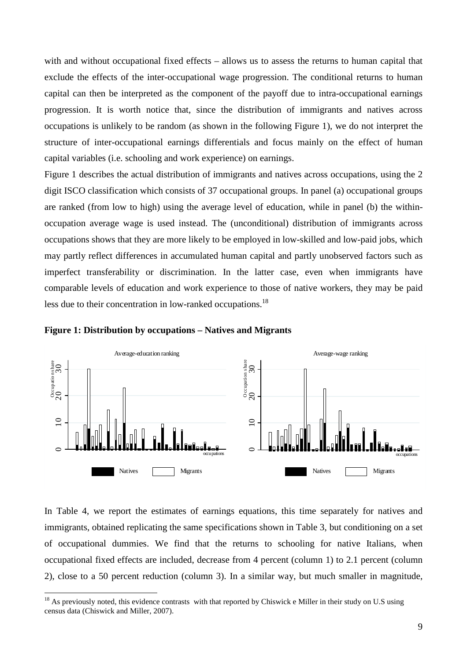with and without occupational fixed effects – allows us to assess the returns to human capital that exclude the effects of the inter-occupational wage progression. The conditional returns to human capital can then be interpreted as the component of the payoff due to intra-occupational earnings progression. It is worth notice that, since the distribution of immigrants and natives across occupations is unlikely to be random (as shown in the following Figure 1), we do not interpret the structure of inter-occupational earnings differentials and focus mainly on the effect of human capital variables (i.e. schooling and work experience) on earnings.

Figure 1 describes the actual distribution of immigrants and natives across occupations, using the 2 digit ISCO classification which consists of 37 occupational groups. In panel (a) occupational groups are ranked (from low to high) using the average level of education, while in panel (b) the withinoccupation average wage is used instead. The (unconditional) distribution of immigrants across occupations shows that they are more likely to be employed in low-skilled and low-paid jobs, which may partly reflect differences in accumulated human capital and partly unobserved factors such as imperfect transferability or discrimination. In the latter case, even when immigrants have comparable levels of education and work experience to those of native workers, they may be paid less due to their concentration in low-ranked occupations.<sup>18</sup>





 $\overline{a}$ 

In Table 4, we report the estimates of earnings equations, this time separately for natives and immigrants, obtained replicating the same specifications shown in Table 3, but conditioning on a set of occupational dummies. We find that the returns to schooling for native Italians, when occupational fixed effects are included, decrease from 4 percent (column 1) to 2.1 percent (column 2), close to a 50 percent reduction (column 3). In a similar way, but much smaller in magnitude,

 $18$  As previously noted, this evidence contrasts with that reported by Chiswick e Miller in their study on U.S using census data (Chiswick and Miller, 2007).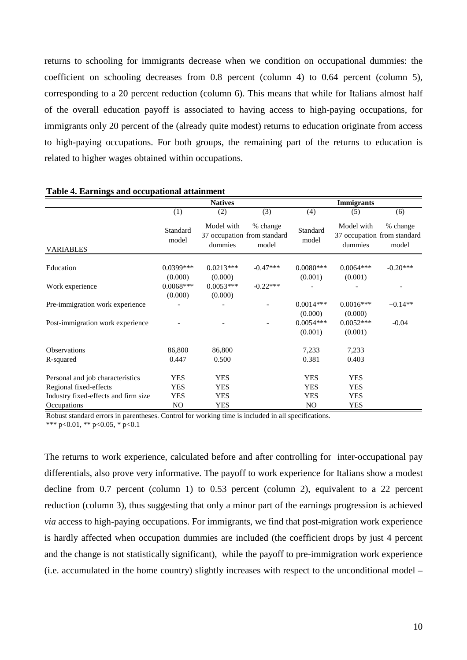returns to schooling for immigrants decrease when we condition on occupational dummies: the coefficient on schooling decreases from  $0.8$  percent (column 4) to  $0.64$  percent (column 5), corresponding to a 20 percent reduction (column 6). This means that while for Italians almost half of the overall education payoff is associated to having access to high-paying occupations, for immigrants only 20 percent of the (already quite modest) returns to education originate from access to high-paying occupations. For both groups, the remaining part of the returns to education is related to higher wages obtained within occupations.

|                                      |                   | <b>Natives</b>        |                                                  |                   | <b>Immigrants</b>     |                                                  |
|--------------------------------------|-------------------|-----------------------|--------------------------------------------------|-------------------|-----------------------|--------------------------------------------------|
|                                      | (1)               | (2)                   | (3)                                              | (4)               | (5)                   | (6)                                              |
| <b>VARIABLES</b>                     | Standard<br>model | Model with<br>dummies | % change<br>37 occupation from standard<br>model | Standard<br>model | Model with<br>dummies | % change<br>37 occupation from standard<br>model |
|                                      | $0.0399***$       | $0.0213***$           | $-0.47***$                                       | $0.0080***$       | $0.0064***$           | $-0.20***$                                       |
| Education                            | (0.000)           | (0.000)               |                                                  | (0.001)           | (0.001)               |                                                  |
| Work experience                      | $0.0068***$       | $0.0053***$           | $-0.22***$                                       |                   |                       |                                                  |
|                                      | (0.000)           | (0.000)               |                                                  |                   |                       |                                                  |
| Pre-immigration work experience      |                   |                       |                                                  | $0.0014***$       | $0.0016***$           | $+0.14**$                                        |
|                                      |                   |                       |                                                  | (0.000)           | (0.000)               |                                                  |
| Post-immigration work experience     |                   |                       |                                                  | $0.0054***$       | $0.0052***$           | $-0.04$                                          |
|                                      |                   |                       |                                                  | (0.001)           | (0.001)               |                                                  |
| <b>Observations</b>                  | 86,800            | 86,800                |                                                  | 7,233             | 7,233                 |                                                  |
| R-squared                            | 0.447             | 0.500                 |                                                  | 0.381             | 0.403                 |                                                  |
| Personal and job characteristics     | YES               | <b>YES</b>            |                                                  | <b>YES</b>        | <b>YES</b>            |                                                  |
| Regional fixed-effects               | YES               | <b>YES</b>            |                                                  | <b>YES</b>        | <b>YES</b>            |                                                  |
| Industry fixed-effects and firm size | YES               | <b>YES</b>            |                                                  | <b>YES</b>        | <b>YES</b>            |                                                  |
| Occupations                          | NO.               | <b>YES</b>            |                                                  | N <sub>O</sub>    | <b>YES</b>            |                                                  |

#### **Table 4. Earnings and occupational attainment**

Robust standard errors in parentheses. Control for working time is included in all specifications. \*\*\* p<0.01, \*\* p<0.05, \* p<0.1

The returns to work experience, calculated before and after controlling for inter-occupational pay differentials, also prove very informative. The payoff to work experience for Italians show a modest decline from 0.7 percent (column 1) to 0.53 percent (column 2), equivalent to a 22 percent reduction (column 3), thus suggesting that only a minor part of the earnings progression is achieved *via* access to high-paying occupations. For immigrants, we find that post-migration work experience is hardly affected when occupation dummies are included (the coefficient drops by just 4 percent and the change is not statistically significant), while the payoff to pre-immigration work experience (i.e. accumulated in the home country) slightly increases with respect to the unconditional model –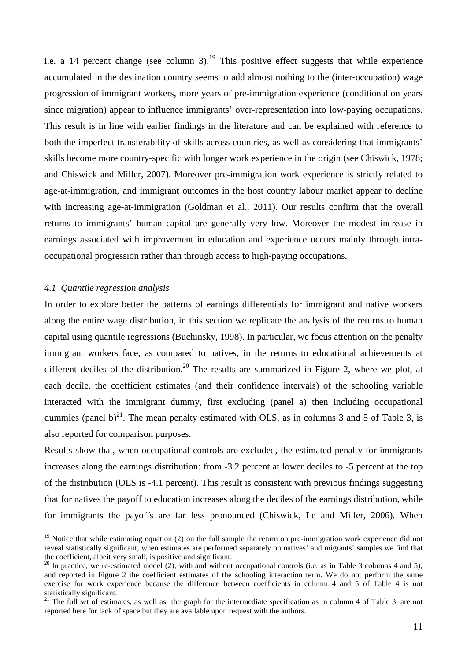i.e. a 14 percent change (see column 3).<sup>19</sup> This positive effect suggests that while experience accumulated in the destination country seems to add almost nothing to the (inter-occupation) wage progression of immigrant workers, more years of pre-immigration experience (conditional on years since migration) appear to influence immigrants' over-representation into low-paying occupations. This result is in line with earlier findings in the literature and can be explained with reference to both the imperfect transferability of skills across countries, as well as considering that immigrants' skills become more country-specific with longer work experience in the origin (see Chiswick, 1978; and Chiswick and Miller, 2007). Moreover pre-immigration work experience is strictly related to age-at-immigration, and immigrant outcomes in the host country labour market appear to decline with increasing age-at-immigration (Goldman et al., 2011). Our results confirm that the overall returns to immigrants' human capital are generally very low. Moreover the modest increase in earnings associated with improvement in education and experience occurs mainly through intraoccupational progression rather than through access to high-paying occupations.

#### *4.1 Quantile regression analysis*

 $\overline{a}$ 

In order to explore better the patterns of earnings differentials for immigrant and native workers along the entire wage distribution, in this section we replicate the analysis of the returns to human capital using quantile regressions (Buchinsky, 1998). In particular, we focus attention on the penalty immigrant workers face, as compared to natives, in the returns to educational achievements at different deciles of the distribution.<sup>20</sup> The results are summarized in Figure 2, where we plot, at each decile, the coefficient estimates (and their confidence intervals) of the schooling variable interacted with the immigrant dummy, first excluding (panel a) then including occupational dummies (panel b)<sup>21</sup>. The mean penalty estimated with OLS, as in columns 3 and 5 of Table 3, is also reported for comparison purposes.

Results show that, when occupational controls are excluded, the estimated penalty for immigrants increases along the earnings distribution: from -3.2 percent at lower deciles to -5 percent at the top of the distribution (OLS is -4.1 percent). This result is consistent with previous findings suggesting that for natives the payoff to education increases along the deciles of the earnings distribution, while for immigrants the payoffs are far less pronounced (Chiswick, Le and Miller, 2006). When

 $19$  Notice that while estimating equation (2) on the full sample the return on pre-immigration work experience did not reveal statistically significant, when estimates are performed separately on natives' and migrants' samples we find that the coefficient, albeit very small, is positive and significant.

<sup>&</sup>lt;sup>20</sup> In practice, we re-estimated model (2), with and without occupational controls (i.e. as in Table 3 columns 4 and 5), and reported in Figure 2 the coefficient estimates of the schooling interaction term. We do not perform the same exercise for work experience because the difference between coefficients in column 4 and 5 of Table 4 is not statistically significant.

 $21$  The full set of estimates, as well as the graph for the intermediate specification as in column 4 of Table 3, are not reported here for lack of space but they are available upon request with the authors.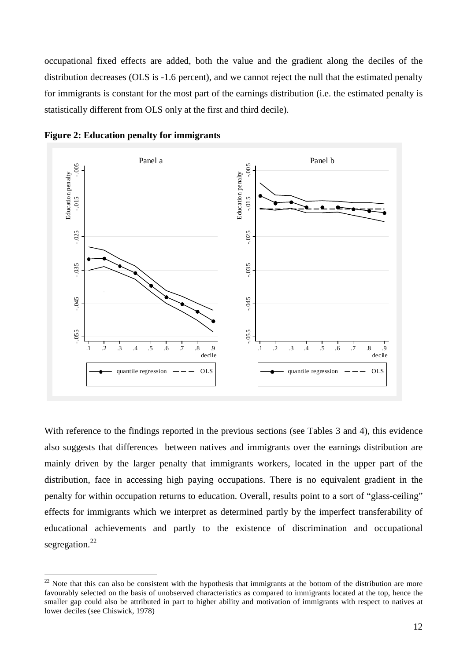occupational fixed effects are added, both the value and the gradient along the deciles of the distribution decreases (OLS is -1.6 percent), and we cannot reject the null that the estimated penalty for immigrants is constant for the most part of the earnings distribution (i.e. the estimated penalty is statistically different from OLS only at the first and third decile).



**Figure 2: Education penalty for immigrants** 

 $\overline{a}$ 

With reference to the findings reported in the previous sections (see Tables 3 and 4), this evidence also suggests that differences between natives and immigrants over the earnings distribution are mainly driven by the larger penalty that immigrants workers, located in the upper part of the distribution, face in accessing high paying occupations. There is no equivalent gradient in the penalty for within occupation returns to education. Overall, results point to a sort of "glass-ceiling" effects for immigrants which we interpret as determined partly by the imperfect transferability of educational achievements and partly to the existence of discrimination and occupational segregation.<sup>22</sup>

 $22$  Note that this can also be consistent with the hypothesis that immigrants at the bottom of the distribution are more favourably selected on the basis of unobserved characteristics as compared to immigrants located at the top, hence the smaller gap could also be attributed in part to higher ability and motivation of immigrants with respect to natives at lower deciles (see Chiswick, 1978)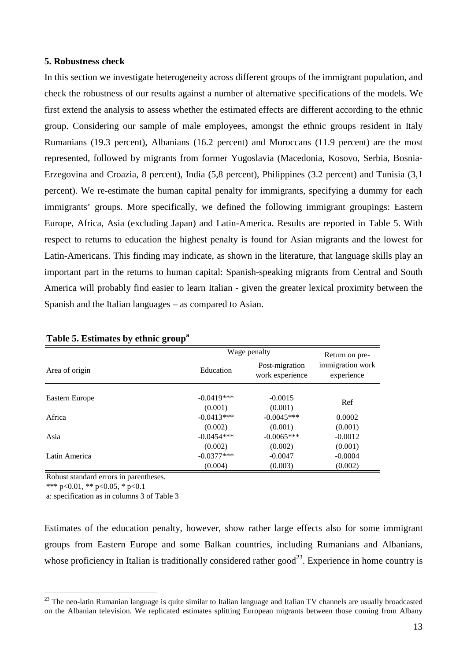#### **5. Robustness check**

In this section we investigate heterogeneity across different groups of the immigrant population, and check the robustness of our results against a number of alternative specifications of the models. We first extend the analysis to assess whether the estimated effects are different according to the ethnic group. Considering our sample of male employees, amongst the ethnic groups resident in Italy Rumanians (19.3 percent), Albanians (16.2 percent) and Moroccans (11.9 percent) are the most represented, followed by migrants from former Yugoslavia (Macedonia, Kosovo, Serbia, Bosnia-Erzegovina and Croazia, 8 percent), India (5,8 percent), Philippines (3.2 percent) and Tunisia (3,1 percent). We re-estimate the human capital penalty for immigrants, specifying a dummy for each immigrants' groups. More specifically, we defined the following immigrant groupings: Eastern Europe, Africa, Asia (excluding Japan) and Latin-America. Results are reported in Table 5. With respect to returns to education the highest penalty is found for Asian migrants and the lowest for Latin-Americans. This finding may indicate, as shown in the literature, that language skills play an important part in the returns to human capital: Spanish-speaking migrants from Central and South America will probably find easier to learn Italian - given the greater lexical proximity between the Spanish and the Italian languages – as compared to Asian.

|                |              | Wage penalty                      |                                                  |  |
|----------------|--------------|-----------------------------------|--------------------------------------------------|--|
| Area of origin | Education    | Post-migration<br>work experience | Return on pre-<br>immigration work<br>experience |  |
|                |              |                                   |                                                  |  |
| Eastern Europe | $-0.0419***$ | $-0.0015$                         | Ref                                              |  |
|                | (0.001)      | (0.001)                           |                                                  |  |
| Africa         | $-0.0413***$ | $-0.0045***$                      | 0.0002                                           |  |
|                | (0.002)      | (0.001)                           | (0.001)                                          |  |
| Asia           | $-0.0454***$ | $-0.0065***$                      | $-0.0012$                                        |  |
|                | (0.002)      | (0.002)                           | (0.001)                                          |  |
| Latin America  | $-0.0377***$ | $-0.0047$                         | $-0.0004$                                        |  |
|                | (0.004)      | (0.003)                           | (0.002)                                          |  |

## **Table 5. Estimates by ethnic group<sup>a</sup>**

Robust standard errors in parentheses.

\*\*\* p<0.01, \*\* p<0.05, \* p<0.1

 $\overline{a}$ 

a: specification as in columns 3 of Table 3

Estimates of the education penalty, however, show rather large effects also for some immigrant groups from Eastern Europe and some Balkan countries, including Rumanians and Albanians, whose proficiency in Italian is traditionally considered rather good<sup>23</sup>. Experience in home country is

<sup>&</sup>lt;sup>23</sup> The neo-latin Rumanian language is quite similar to Italian language and Italian TV channels are usually broadcasted on the Albanian television. We replicated estimates splitting European migrants between those coming from Albany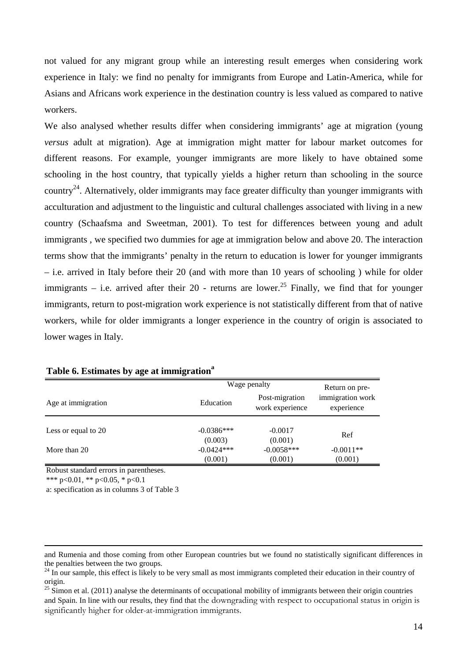not valued for any migrant group while an interesting result emerges when considering work experience in Italy: we find no penalty for immigrants from Europe and Latin-America, while for Asians and Africans work experience in the destination country is less valued as compared to native workers.

We also analysed whether results differ when considering immigrants' age at migration (young *versus* adult at migration). Age at immigration might matter for labour market outcomes for different reasons. For example, younger immigrants are more likely to have obtained some schooling in the host country, that typically yields a higher return than schooling in the source country<sup>24</sup>. Alternatively, older immigrants may face greater difficulty than younger immigrants with acculturation and adjustment to the linguistic and cultural challenges associated with living in a new country (Schaafsma and Sweetman, 2001). To test for differences between young and adult immigrants , we specified two dummies for age at immigration below and above 20. The interaction terms show that the immigrants' penalty in the return to education is lower for younger immigrants – i.e. arrived in Italy before their 20 (and with more than 10 years of schooling ) while for older immigrants – i.e. arrived after their 20 - returns are lower.<sup>25</sup> Finally, we find that for younger immigrants, return to post-migration work experience is not statistically different from that of native workers, while for older immigrants a longer experience in the country of origin is associated to lower wages in Italy.

|                     |                         | Wage penalty                      |                                |
|---------------------|-------------------------|-----------------------------------|--------------------------------|
| Age at immigration  | Education               | Post-migration<br>work experience | immigration work<br>experience |
| Less or equal to 20 | $-0.0386***$<br>(0.003) | $-0.0017$<br>(0.001)              | Ref                            |
| More than 20        | $-0.0424***$            | $-0.0058***$                      | $-0.0011**$                    |
|                     | (0.001)                 | (0.001)                           | (0.001)                        |

# **Table 6. Estimates by age at immigration<sup>a</sup>**

Robust standard errors in parentheses. \*\*\* p<0.01, \*\* p<0.05, \* p<0.1

 $\overline{a}$ 

a: specification as in columns 3 of Table 3

and Rumenia and those coming from other European countries but we found no statistically significant differences in the penalties between the two groups.

 $^{24}$  In our sample, this effect is likely to be very small as most immigrants completed their education in their country of origin.

<sup>&</sup>lt;sup>25</sup> Simon et al. (2011) analyse the determinants of occupational mobility of immigrants between their origin countries and Spain. In line with our results, they find that the downgrading with respect to occupational status in origin is significantly higher for older-at-immigration immigrants.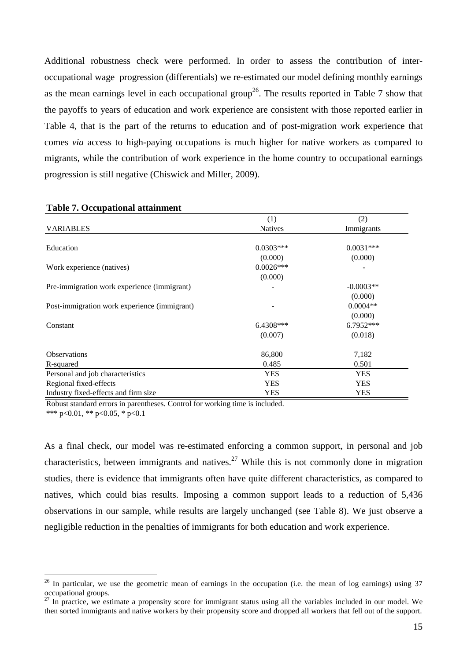Additional robustness check were performed. In order to assess the contribution of interoccupational wage progression (differentials) we re-estimated our model defining monthly earnings as the mean earnings level in each occupational group<sup>26</sup>. The results reported in Table 7 show that the payoffs to years of education and work experience are consistent with those reported earlier in Table 4, that is the part of the returns to education and of post-migration work experience that comes *via* access to high-paying occupations is much higher for native workers as compared to migrants, while the contribution of work experience in the home country to occupational earnings progression is still negative (Chiswick and Miller, 2009).

| <b></b> .                                    |                |             |
|----------------------------------------------|----------------|-------------|
|                                              | (1)            | (2)         |
| <b>VARIABLES</b>                             | <b>Natives</b> | Immigrants  |
|                                              |                |             |
| Education                                    | $0.0303***$    | $0.0031***$ |
|                                              | (0.000)        | (0.000)     |
| Work experience (natives)                    | $0.0026***$    |             |
|                                              | (0.000)        |             |
| Pre-immigration work experience (immigrant)  |                | $-0.0003**$ |
|                                              |                | (0.000)     |
| Post-immigration work experience (immigrant) |                | $0.0004**$  |
|                                              |                | (0.000)     |
| Constant                                     | 6.4308***      | 6.7952***   |
|                                              | (0.007)        | (0.018)     |
| <b>Observations</b>                          | 86,800         | 7,182       |
| R-squared                                    | 0.485          | 0.501       |
| Personal and job characteristics             | <b>YES</b>     | <b>YES</b>  |
| Regional fixed-effects                       | <b>YES</b>     | <b>YES</b>  |
| Industry fixed-effects and firm size         | <b>YES</b>     | <b>YES</b>  |

#### **Table 7. Occupational attainment**

 $\overline{a}$ 

Robust standard errors in parentheses. Control for working time is included. \*\*\* p<0.01, \*\* p<0.05, \* p<0.1

As a final check, our model was re-estimated enforcing a common support, in personal and job characteristics, between immigrants and natives.<sup>27</sup> While this is not commonly done in migration studies, there is evidence that immigrants often have quite different characteristics, as compared to natives, which could bias results. Imposing a common support leads to a reduction of 5,436 observations in our sample, while results are largely unchanged (see Table 8). We just observe a negligible reduction in the penalties of immigrants for both education and work experience.

 $26$  In particular, we use the geometric mean of earnings in the occupation (i.e. the mean of log earnings) using  $37$ occupational groups.

 $27$  In practice, we estimate a propensity score for immigrant status using all the variables included in our model. We then sorted immigrants and native workers by their propensity score and dropped all workers that fell out of the support.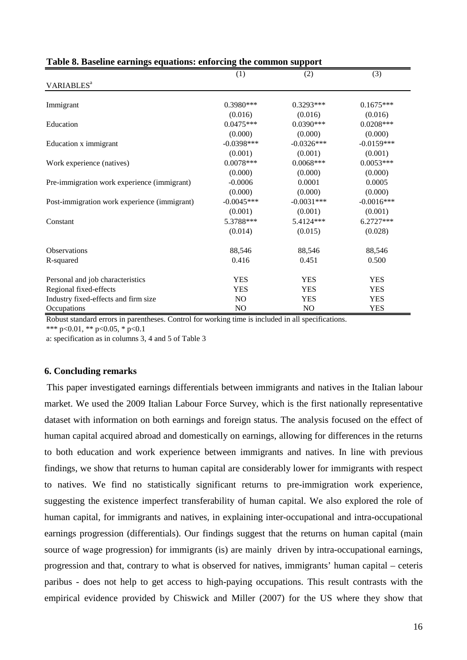|                                              | (1)          | (2)          | (3)          |
|----------------------------------------------|--------------|--------------|--------------|
| VARIABLES <sup>a</sup>                       |              |              |              |
| Immigrant                                    | $0.3980***$  | $0.3293***$  | $0.1675***$  |
|                                              | (0.016)      | (0.016)      | (0.016)      |
| Education                                    | $0.0475***$  | $0.0390***$  | $0.0208***$  |
|                                              | (0.000)      | (0.000)      | (0.000)      |
| Education x immigrant                        | $-0.0398***$ | $-0.0326***$ | $-0.0159***$ |
|                                              | (0.001)      | (0.001)      | (0.001)      |
| Work experience (natives)                    | $0.0078***$  | $0.0068***$  | $0.0053***$  |
|                                              | (0.000)      | (0.000)      | (0.000)      |
| Pre-immigration work experience (immigrant)  | $-0.0006$    | 0.0001       | 0.0005       |
|                                              | (0.000)      | (0.000)      | (0.000)      |
| Post-immigration work experience (immigrant) | $-0.0045***$ | $-0.0031***$ | $-0.0016***$ |
|                                              | (0.001)      | (0.001)      | (0.001)      |
| Constant                                     | 5.3788***    | 5.4124***    | 6.2727***    |
|                                              | (0.014)      | (0.015)      | (0.028)      |
| <b>Observations</b>                          | 88,546       | 88,546       | 88,546       |
| R-squared                                    | 0.416        | 0.451        | 0.500        |
| Personal and job characteristics             | <b>YES</b>   | <b>YES</b>   | <b>YES</b>   |
| Regional fixed-effects                       | <b>YES</b>   | <b>YES</b>   | <b>YES</b>   |
| Industry fixed-effects and firm size         | NO           | <b>YES</b>   | <b>YES</b>   |
| Occupations                                  | NO           | NO           | <b>YES</b>   |

## **Table 8. Baseline earnings equations: enforcing the common support**

Robust standard errors in parentheses. Control for working time is included in all specifications.

\*\*\* p<0.01, \*\* p<0.05, \* p<0.1

a: specification as in columns 3, 4 and 5 of Table 3

## **6. Concluding remarks**

 This paper investigated earnings differentials between immigrants and natives in the Italian labour market. We used the 2009 Italian Labour Force Survey, which is the first nationally representative dataset with information on both earnings and foreign status. The analysis focused on the effect of human capital acquired abroad and domestically on earnings, allowing for differences in the returns to both education and work experience between immigrants and natives. In line with previous findings, we show that returns to human capital are considerably lower for immigrants with respect to natives. We find no statistically significant returns to pre-immigration work experience, suggesting the existence imperfect transferability of human capital. We also explored the role of human capital, for immigrants and natives, in explaining inter-occupational and intra-occupational earnings progression (differentials). Our findings suggest that the returns on human capital (main source of wage progression) for immigrants (is) are mainly driven by intra-occupational earnings, progression and that, contrary to what is observed for natives, immigrants' human capital – ceteris paribus - does not help to get access to high-paying occupations. This result contrasts with the empirical evidence provided by Chiswick and Miller (2007) for the US where they show that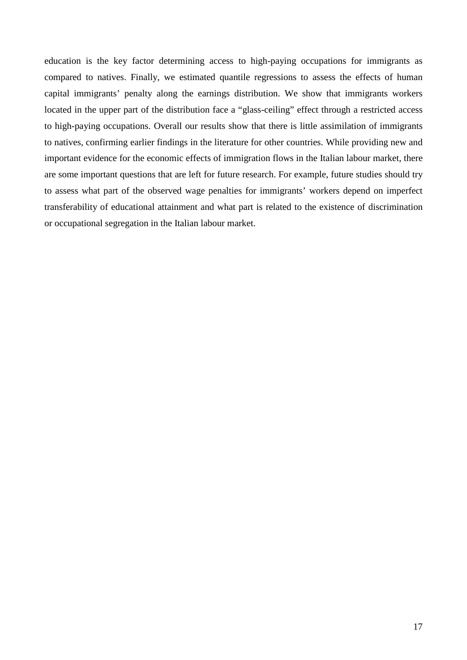education is the key factor determining access to high-paying occupations for immigrants as compared to natives. Finally, we estimated quantile regressions to assess the effects of human capital immigrants' penalty along the earnings distribution. We show that immigrants workers located in the upper part of the distribution face a "glass-ceiling" effect through a restricted access to high-paying occupations. Overall our results show that there is little assimilation of immigrants to natives, confirming earlier findings in the literature for other countries. While providing new and important evidence for the economic effects of immigration flows in the Italian labour market, there are some important questions that are left for future research. For example, future studies should try to assess what part of the observed wage penalties for immigrants' workers depend on imperfect transferability of educational attainment and what part is related to the existence of discrimination or occupational segregation in the Italian labour market.